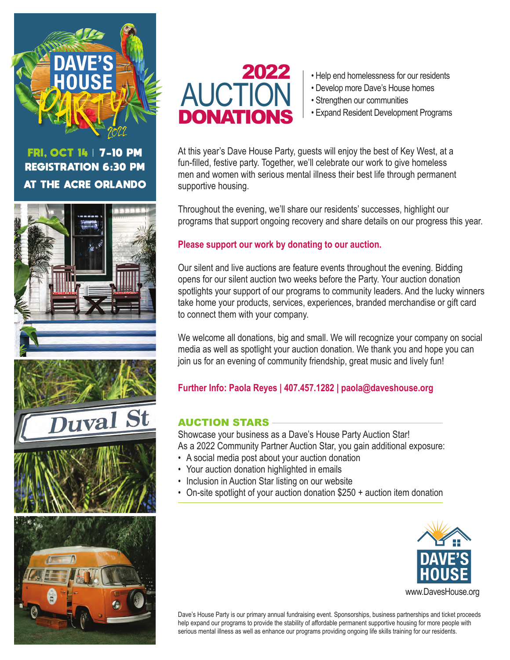

# FRI, OCT 14 | 7-10 PM REGISTRATION 6:30 PM AT THE ACRE ORLANDO





- 2022  **Help end homelessness for our residents** 
	- Develop more Dave's House homes
	- Strengthen our communities
	- Expand Resident Development Programs

At this year's Dave House Party, guests will enjoy the best of Key West, at a fun-filled, festive party. Together, we'll celebrate our work to give homeless men and women with serious mental illness their best life through permanent supportive housing.

Throughout the evening, we'll share our residents' successes, highlight our programs that support ongoing recovery and share details on our progress this year.

### **Please support our work by donating to our auction.**

Our silent and live auctions are feature events throughout the evening. Bidding opens for our silent auction two weeks before the Party. Your auction donation spotlights your support of our programs to community leaders. And the lucky winners take home your products, services, experiences, branded merchandise or gift card to connect them with your company.

We welcome all donations, big and small. We will recognize your company on social media as well as spotlight your auction donation. We thank you and hope you can join us for an evening of community friendship, great music and lively fun!

### **Further Info: Paola Reyes | 407.457.1282 | paola@daveshouse.org**

### AUCTION STARS

Showcase your business as a Dave's House Party Auction Star! As a 2022 Community Partner Auction Star, you gain additional exposure:

- A social media post about your auction donation
- Your auction donation highlighted in emails
- Inclusion in Auction Star listing on our website
- On-site spotlight of your auction donation \$250 + auction item donation



www.DavesHouse.org

Dave's House Party is our primary annual fundraising event. Sponsorships, business partnerships and ticket proceeds help expand our programs to provide the stability of affordable permanent supportive housing for more people with serious mental illness as well as enhance our programs providing ongoing life skills training for our residents.